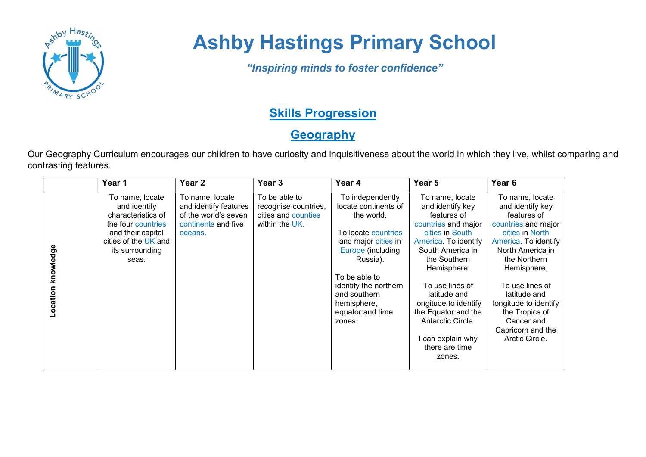

## Ashby Hastings Primary School

"Inspiring minds to foster confidence"

## **Skills Progression**

## **Geography**

Our Geography Curriculum encourages our children to have curiosity and inquisitiveness about the world in which they live, whilst comparing and contrasting features.

|                       | Year 1                                                                                                                                               | Year 2                                                                                             | Year <sub>3</sub>                                                              | Year 4                                                                                                                                                                                                                                       | Year <sub>5</sub>                                                                                                                                                                                                                                                                                                              | Year <sub>6</sub>                                                                                                                                                                                                                                                                                          |
|-----------------------|------------------------------------------------------------------------------------------------------------------------------------------------------|----------------------------------------------------------------------------------------------------|--------------------------------------------------------------------------------|----------------------------------------------------------------------------------------------------------------------------------------------------------------------------------------------------------------------------------------------|--------------------------------------------------------------------------------------------------------------------------------------------------------------------------------------------------------------------------------------------------------------------------------------------------------------------------------|------------------------------------------------------------------------------------------------------------------------------------------------------------------------------------------------------------------------------------------------------------------------------------------------------------|
| knowledge<br>Location | To name, locate<br>and identify<br>characteristics of<br>the four countries<br>and their capital<br>cities of the UK and<br>its surrounding<br>seas. | To name, locate<br>and identify features<br>of the world's seven<br>continents and five<br>oceans. | To be able to<br>recognise countries,<br>cities and counties<br>within the UK. | To independently<br>locate continents of<br>the world.<br>To locate countries<br>and major cities in<br>Europe (including<br>Russia).<br>To be able to<br>identify the northern<br>and southern<br>hemisphere,<br>equator and time<br>zones. | To name, locate<br>and identify key<br>features of<br>countries and major<br>cities in South<br>America. To identify<br>South America in<br>the Southern<br>Hemisphere.<br>To use lines of<br>latitude and<br>longitude to identify<br>the Equator and the<br>Antarctic Circle.<br>can explain why<br>there are time<br>zones. | To name, locate<br>and identify key<br>features of<br>countries and major<br>cities in North<br>America. To identify<br>North America in<br>the Northern<br>Hemisphere.<br>To use lines of<br>latitude and<br>longitude to identify<br>the Tropics of<br>Cancer and<br>Capricorn and the<br>Arctic Circle. |